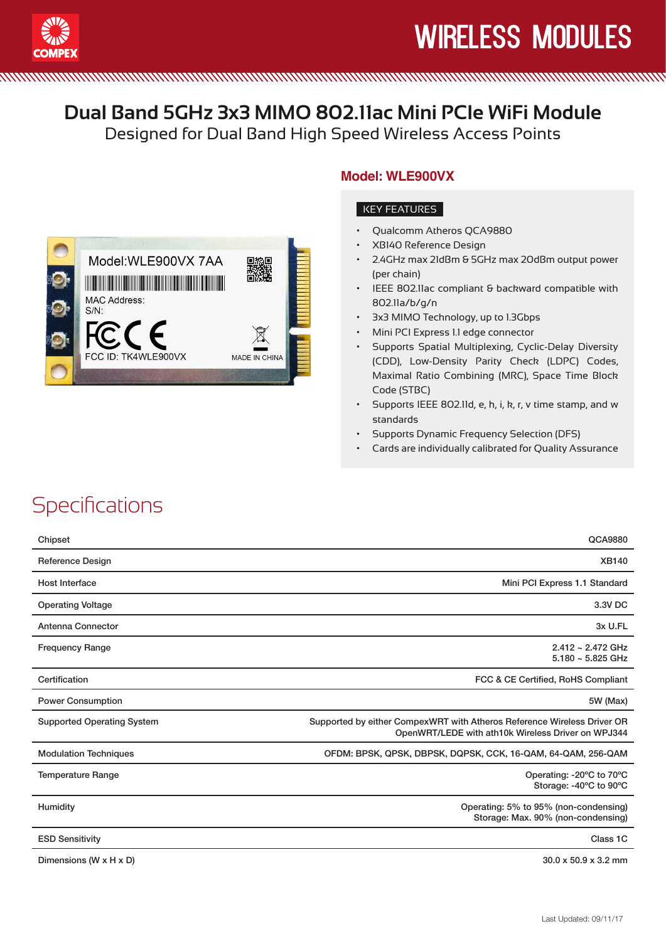

#### **MMMMM**

#### **Dual Band 5GHz 3x3 MIMO 802.11ac Mini PCIe WiFi Module**

Designed for Dual Band High Speed Wireless Access Points



#### **Model: WLE900VX**

#### KEY FEATURES

- Qualcomm Atheros QCA9880
- **XB140 Reference Design**
- 2.4GHz max 21dBm & 5GHz max 20dBm output power (per chain)
- IEEE 802.11ac compliant & backward compatible with 802.11a/b/g/n
- 3x3 MIMO Technology, up to 1.3Gbps
- Mini PCI Express 1.1 edge connector
- Supports Spatial Multiplexing, Cyclic-Delay Diversity (CDD), Low-Density Parity Check (LDPC) Codes, Maximal Ratio Combining (MRC), Space Time Block Code (STBC)
- • Supports IEEE 802.11d, e, h, i, k, r, v time stamp, and w standards
- Supports Dynamic Frequency Selection (DFS)
- • Cards are individually calibrated for Quality Assurance

#### **Specifications**

| Chipset                           | QCA9880                                                                                                                       |
|-----------------------------------|-------------------------------------------------------------------------------------------------------------------------------|
| <b>Reference Design</b>           | <b>XB140</b>                                                                                                                  |
| Host Interface                    | Mini PCI Express 1.1 Standard                                                                                                 |
| <b>Operating Voltage</b>          | 3.3V DC                                                                                                                       |
| Antenna Connector                 | 3x U.FL                                                                                                                       |
| <b>Frequency Range</b>            | $2.412 \sim 2.472$ GHz<br>$5.180 - 5.825$ GHz                                                                                 |
| Certification                     | FCC & CE Certified, RoHS Compliant                                                                                            |
| <b>Power Consumption</b>          | 5W (Max)                                                                                                                      |
| <b>Supported Operating System</b> | Supported by either CompexWRT with Atheros Reference Wireless Driver OR<br>OpenWRT/LEDE with ath10k Wireless Driver on WPJ344 |
| <b>Modulation Techniques</b>      | OFDM: BPSK, QPSK, DBPSK, DQPSK, CCK, 16-QAM, 64-QAM, 256-QAM                                                                  |
| <b>Temperature Range</b>          | Operating: -20°C to 70°C<br>Storage: -40°C to 90°C                                                                            |
| Humidity                          | Operating: 5% to 95% (non-condensing)<br>Storage: Max. 90% (non-condensing)                                                   |
| <b>ESD Sensitivity</b>            | Class 1C                                                                                                                      |
| Dimensions (W x H x D)            | $30.0 \times 50.9 \times 3.2$ mm                                                                                              |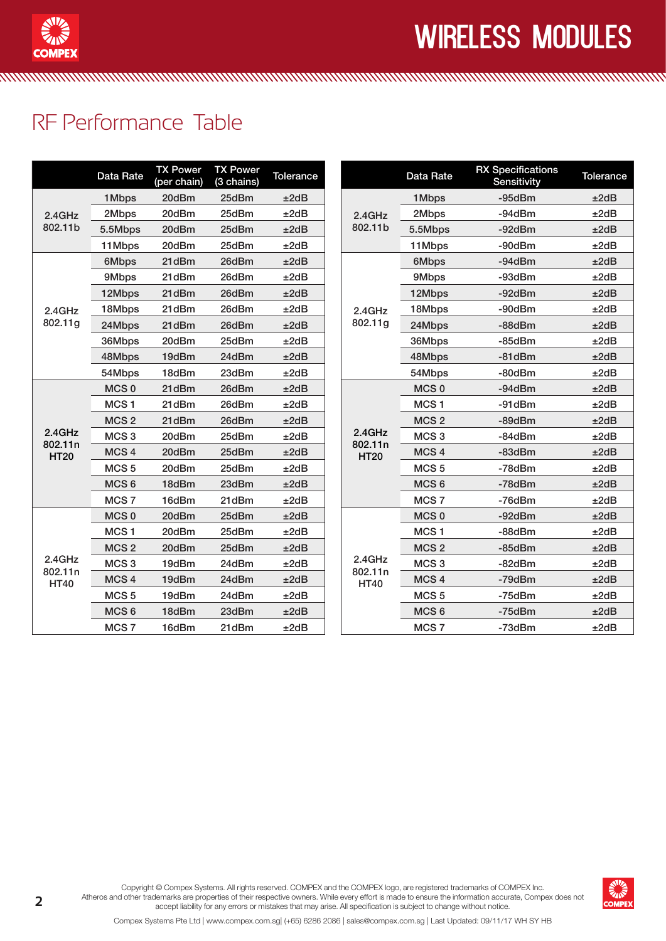

# wireless modules

#### RF Performance Table

|                                  | Data Rate        | <b>TX Power</b><br>(per chain) | <b>TX Power</b><br>(3 chains) | Tolerance |  |                                                                                                                                                                                                                                                                                                                                                                                                                                                                                                                                                                     | <b>Data Rate</b> | <b>RX Specifications</b><br>Sensitivity | Tolerance |
|----------------------------------|------------------|--------------------------------|-------------------------------|-----------|--|---------------------------------------------------------------------------------------------------------------------------------------------------------------------------------------------------------------------------------------------------------------------------------------------------------------------------------------------------------------------------------------------------------------------------------------------------------------------------------------------------------------------------------------------------------------------|------------------|-----------------------------------------|-----------|
| 2.4GHz<br>802.11b                | 1Mbps            | 20dBm                          | 25dBm                         | ±2dB      |  | 1Mbps<br>2Mbps<br>2.4GHz<br>802.11b<br>5.5Mbps<br>11Mbps<br>6Mbps<br>9Mbps<br>12Mbps<br>18Mbps<br>2.4GHz<br>802.11g<br>24Mbps<br>36Mbps<br>48Mbps<br>54Mbps<br>MCS <sub>0</sub><br>MCS <sub>1</sub><br>MCS <sub>2</sub><br>2.4GHz<br>MCS <sub>3</sub><br>802.11n<br>MCS <sub>4</sub><br><b>HT20</b><br>MCS <sub>5</sub><br>MCS <sub>6</sub><br>MCS <sub>7</sub><br>MCS <sub>0</sub><br>MCS <sub>1</sub><br>MCS <sub>2</sub><br>2.4GHz<br>MCS <sub>3</sub><br>802.11n<br>MCS <sub>4</sub><br><b>HT40</b><br>MCS <sub>5</sub><br>MCS <sub>6</sub><br>MCS <sub>7</sub> |                  | $-95dBr$                                | ±2dB      |
|                                  | 2Mbps            | 20dBm                          | 25dBm                         | ±2dB      |  |                                                                                                                                                                                                                                                                                                                                                                                                                                                                                                                                                                     |                  | $-94dBr$                                | ±2dB      |
|                                  | 5.5Mbps          | 20dBm                          | 25dBm                         | ±2dB      |  |                                                                                                                                                                                                                                                                                                                                                                                                                                                                                                                                                                     |                  | $-92dBr$                                | ±2dB      |
|                                  | 11Mbps           | 20dBm                          | 25dBm                         | ±2dB      |  |                                                                                                                                                                                                                                                                                                                                                                                                                                                                                                                                                                     | $-90dBr$         | ±2dB                                    |           |
|                                  | 6Mbps            | 21dBm                          | 26dBm                         | ±2dB      |  |                                                                                                                                                                                                                                                                                                                                                                                                                                                                                                                                                                     |                  | $-94dBr$                                | ±2dB      |
|                                  | 9Mbps            | 21dBm                          | 26dBm                         | ±2dB      |  |                                                                                                                                                                                                                                                                                                                                                                                                                                                                                                                                                                     |                  | -93dBm                                  | ±2dB      |
|                                  | 12Mbps           | 21dBm                          | 26dBm                         | ±2dB      |  |                                                                                                                                                                                                                                                                                                                                                                                                                                                                                                                                                                     |                  | $-92dBr$                                | ±2dB      |
| 2.4GHz                           | 18Mbps           | 21dBm                          | 26dBm                         | ±2dB      |  |                                                                                                                                                                                                                                                                                                                                                                                                                                                                                                                                                                     |                  | $-90dBr$                                | ±2dB      |
| 802.11g                          | 24Mbps           | 21dBm                          | 26dBm                         | ±2dB      |  |                                                                                                                                                                                                                                                                                                                                                                                                                                                                                                                                                                     |                  | -88dBm                                  | ±2dB      |
|                                  | 36Mbps           | 20dBm                          | 25dBm                         | ±2dB      |  |                                                                                                                                                                                                                                                                                                                                                                                                                                                                                                                                                                     |                  | $-85dBm$                                | ±2dB      |
|                                  | 48Mbps           | 19dBm                          | 24dBm                         | ±2dB      |  |                                                                                                                                                                                                                                                                                                                                                                                                                                                                                                                                                                     |                  | $-81$ d $Bm$                            | ±2dB      |
|                                  | 54Mbps           | 18dBm                          | 23dBm                         | ±2dB      |  |                                                                                                                                                                                                                                                                                                                                                                                                                                                                                                                                                                     |                  | $-80dBr$                                | ±2dB      |
|                                  | MCS <sub>0</sub> | 21dBm                          | 26dBm                         | ±2dB      |  |                                                                                                                                                                                                                                                                                                                                                                                                                                                                                                                                                                     |                  | $-94dBr$                                | ±2dB      |
|                                  | MCS <sub>1</sub> | 21dBm                          | 26dBm                         | ±2dB      |  |                                                                                                                                                                                                                                                                                                                                                                                                                                                                                                                                                                     |                  | $-91$ d $Bm$                            | ±2dB      |
|                                  | MCS <sub>2</sub> | 21dBm                          | 26dBm                         | ±2dB      |  |                                                                                                                                                                                                                                                                                                                                                                                                                                                                                                                                                                     |                  | $-89dBr$                                | ±2dB      |
| $2.4$ GHz                        | MCS <sub>3</sub> | 20dBm                          | 25dBm                         | ±2dB      |  |                                                                                                                                                                                                                                                                                                                                                                                                                                                                                                                                                                     |                  | $-84dBm$                                | ±2dB      |
| 802.11n<br><b>HT20</b>           | MCS <sub>4</sub> | 20dBm                          | 25dBm                         | ±2dB      |  |                                                                                                                                                                                                                                                                                                                                                                                                                                                                                                                                                                     |                  | $-83dBm$                                | ±2dB      |
|                                  | MCS <sub>5</sub> | 20dBm                          | 25dBm                         | ±2dB      |  |                                                                                                                                                                                                                                                                                                                                                                                                                                                                                                                                                                     |                  | $-78dBr$                                | ±2dB      |
|                                  | MCS <sub>6</sub> | 18dBm                          | 23dBm                         | ±2dB      |  |                                                                                                                                                                                                                                                                                                                                                                                                                                                                                                                                                                     |                  | -78dBm                                  | ±2dB      |
|                                  | MCS <sub>7</sub> | 16dBm                          | 21dBm                         | ±2dB      |  |                                                                                                                                                                                                                                                                                                                                                                                                                                                                                                                                                                     |                  | $-76$ d $Bm$                            | ±2dB      |
|                                  | MCS <sub>0</sub> | 20dBm                          | 25dBm                         | ±2dB      |  |                                                                                                                                                                                                                                                                                                                                                                                                                                                                                                                                                                     |                  | $-92dBr$                                | ±2dB      |
|                                  | MCS <sub>1</sub> | 20dBm                          | 25dBm                         | ±2dB      |  |                                                                                                                                                                                                                                                                                                                                                                                                                                                                                                                                                                     |                  | -88dBm                                  | ±2dB      |
| 2.4GHz<br>802.11n<br><b>HT40</b> | MCS <sub>2</sub> | 20dBm                          | 25dBm                         | ±2dB      |  |                                                                                                                                                                                                                                                                                                                                                                                                                                                                                                                                                                     |                  | $-85dBm$                                | ±2dB      |
|                                  | MCS <sub>3</sub> | 19dBm                          | 24dBm                         | ±2dB      |  |                                                                                                                                                                                                                                                                                                                                                                                                                                                                                                                                                                     |                  | $-82dBr$                                | ±2dB      |
|                                  | MCS <sub>4</sub> | 19dBm                          | 24dBm                         | ±2dB      |  |                                                                                                                                                                                                                                                                                                                                                                                                                                                                                                                                                                     |                  | -79dBm                                  | ±2dB      |
|                                  | MCS <sub>5</sub> | 19dBm                          | 24dBm                         | ±2dB      |  |                                                                                                                                                                                                                                                                                                                                                                                                                                                                                                                                                                     |                  | $-75dBm$                                | ±2dB      |
|                                  | MCS <sub>6</sub> | 18dBm                          | 23dBm                         | ±2dB      |  |                                                                                                                                                                                                                                                                                                                                                                                                                                                                                                                                                                     |                  | $-75dBm$                                | ±2dB      |
|                                  | MCS <sub>7</sub> | 16dBm                          | 21dBm                         | ±2dB      |  |                                                                                                                                                                                                                                                                                                                                                                                                                                                                                                                                                                     |                  | -73dBm                                  | ±2dB      |

<u>MAAN TAN TAN TAN MARAHASA NA MARAHASA NA KATANA MARAHASA NA KATANA MARAHASA NA KATANA MARAHASA NA KATANA MARAH</u>



Copyright © Compex Systems. All rights reserved. COMPEX and the COMPEX logo, are registered trademarks of COMPEX Inc. Atheros and other trademarks are properties of their respective owners. While every effort is made to ensure the information accurate, Compex does not accept liability for any errors or mistakes that may arise. All specification is subject to change without notice.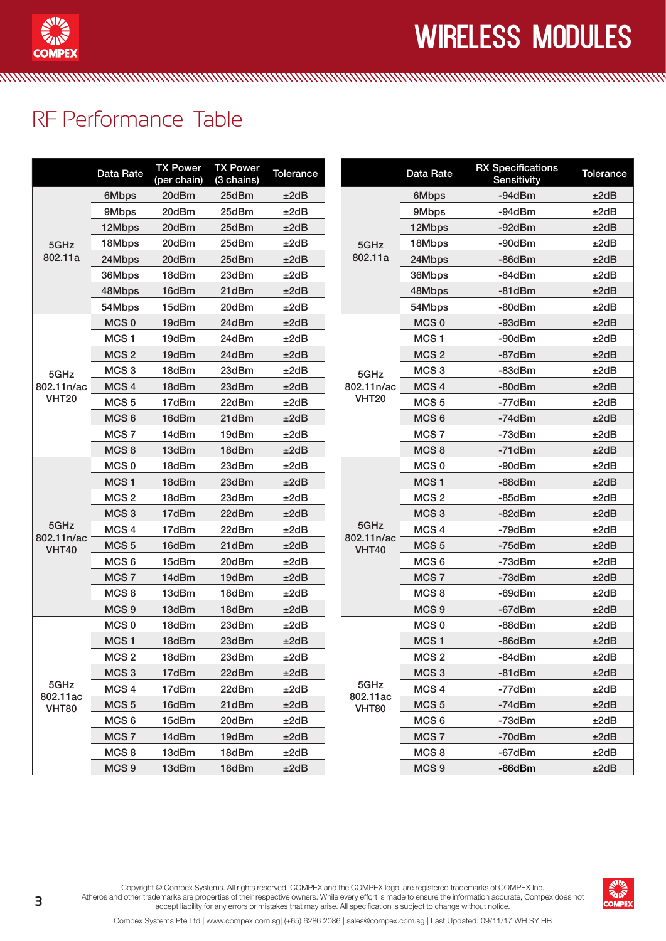

## wireless modules

## RF Performance Table

|                                    | Data Rate        | <b>TX Power</b><br>(per chain) | <b>TX Power</b><br>(3 chains) | <b>Tolerance</b> |                    | Data Rate        | <b>RX Specifications</b><br>Sensitivity | Tolerance |
|------------------------------------|------------------|--------------------------------|-------------------------------|------------------|--------------------|------------------|-----------------------------------------|-----------|
|                                    | 6Mbps            | 20dBm                          | 25dBm                         | ±2dB             |                    | 6Mbps            | $-94dBr$                                | ±2dB      |
|                                    | 9Mbps            | 20dBm                          | 25dBm                         | ±2dB             |                    | 9Mbps            | -94dBm                                  | ±2dB      |
|                                    | 12Mbps           | 20dBm                          | 25dBm                         | ±2dB             |                    | 12Mbps           | $-92dBr$                                | ±2dB      |
| 5GHz                               | 18Mbps           | 20dBm                          | 25dBm                         | ±2dB             | 5GHz               | 18Mbps           | $-90dBr$                                | ±2dB      |
| 802.11a                            | 24Mbps           | 20dBm                          | 25dBm                         | ±2dB             | 802.11a            | 24Mbps           | $-86dBr$                                | ±2dB      |
|                                    | 36Mbps           | 18dBm                          | 23dBm                         | ±2dB             |                    | 36Mbps           | -84dBm                                  | ±2dB      |
| 5GHz<br>802.11n/ac<br><b>VHT20</b> | 48Mbps           | 16dBm                          | 21dBm                         | ±2dB             |                    | 48Mbps           | $-81$ d $Bm$                            | ±2dB      |
|                                    | 54Mbps           | 15dBm                          | 20dBm                         | ±2dB             |                    | 54Mbps           | -80dBm                                  | ±2dB      |
|                                    | MCS <sub>0</sub> | 19dBm                          | 24dBm                         | ±2dB             |                    | MCS <sub>0</sub> | -93dBm                                  | ±2dB      |
|                                    | MCS <sub>1</sub> | 19dBm                          | 24dBm                         | ±2dB             |                    | MCS <sub>1</sub> | -90dBm                                  | ±2dB      |
|                                    | MCS <sub>2</sub> | 19dBm                          | 24dBm                         | ±2dB             |                    | MCS <sub>2</sub> | -87dBm                                  | ±2dB      |
|                                    | MCS <sub>3</sub> | 18dBm                          | 23dBm                         | ±2dB             | 5GHz               | MCS <sub>3</sub> | -83dBm                                  | ±2dB      |
|                                    | MCS <sub>4</sub> | 18dBm                          | 23dBm                         | ±2dB             | 802.11n/ac         | MCS <sub>4</sub> | $-80$ d $Bm$                            | ±2dB      |
|                                    | MCS <sub>5</sub> | 17dBm                          | 22dBm                         | ±2dB             | <b>VHT20</b>       | MCS <sub>5</sub> | -77dBm                                  | ±2dB      |
|                                    | MCS <sub>6</sub> | 16dBm                          | 21dBm                         | ±2dB             |                    | MCS <sub>6</sub> | -74dBm                                  | ±2dB      |
|                                    | MCS <sub>7</sub> | 14dBm                          | 19dBm                         | ±2dB             |                    | MCS <sub>7</sub> | -73dBm                                  | ±2dB      |
|                                    | MCS <sub>8</sub> | 13dBm                          | 18dBm                         | ±2dB             |                    | MCS <sub>8</sub> | $-71dBm$                                | ±2dB      |
|                                    | MCS <sub>0</sub> | 18dBm                          | 23dBm                         | ±2dB             |                    | MCS <sub>0</sub> | -90dBm                                  | ±2dB      |
|                                    | MCS <sub>1</sub> | 18dBm                          | 23dBm                         | ±2dB             |                    | MCS <sub>1</sub> | -88dBm                                  | ±2dB      |
|                                    | MCS <sub>2</sub> | 18dBm                          | 23dBm                         | ±2dB             |                    | MCS <sub>2</sub> | -85dBm                                  | ±2dB      |
|                                    | MCS <sub>3</sub> | 17dBm                          | 22dBm                         | ±2dB             |                    | MCS <sub>3</sub> | $-82dBr$                                | ±2dB      |
| 5GHz<br>802.11n/ac<br><b>VHT40</b> | MCS <sub>4</sub> | 17dBm                          | 22dBm                         | ±2dB             | 5GHz<br>802.11n/ac | MCS <sub>4</sub> | -79dBm                                  | ±2dB      |
|                                    | MCS <sub>5</sub> | 16dBm                          | 21dBm                         | ±2dB             | <b>VHT40</b>       | MCS <sub>5</sub> | -75dBm                                  | ±2dB      |
|                                    | MCS <sub>6</sub> | 15dBm                          | 20dBm                         | ±2dB             |                    | MCS <sub>6</sub> | -73dBm                                  | ±2dB      |
|                                    | MCS <sub>7</sub> | 14dBm                          | 19dBm                         | ±2dB             |                    | MCS <sub>7</sub> | -73dBm                                  | ±2dB      |
|                                    | MCS <sub>8</sub> | 13dBm                          | 18dBm                         | ±2dB             |                    | MCS <sub>8</sub> | -69dBm                                  | ±2dB      |
|                                    | MCS <sub>9</sub> | 13dBm                          | 18dBm                         | ±2dB             |                    | MCS <sub>9</sub> | $-67$ d $Bm$                            | ±2dB      |
|                                    | MCS <sub>0</sub> | 18dBm                          | 23dBm                         | ±2dB             |                    | MCS <sub>0</sub> | -88dBm                                  | ±2dB      |
|                                    | MCS <sub>1</sub> | 18dBm                          | 23dBm                         | ±2dB             |                    | MCS <sub>1</sub> | $-86$ d $Bm$                            | ±2dB      |
|                                    | MCS <sub>2</sub> | 18dBm                          | 23dBm                         | ±2dB             |                    | MCS <sub>2</sub> | -84dBm                                  | ±2dB      |
|                                    | MCS <sub>3</sub> | 17dBm                          | 22dBm                         | ±2dB             |                    | MCS <sub>3</sub> | $-81dBm$                                | ±2dB      |
| 5GHz                               | MCS <sub>4</sub> | 17dBm                          | 22dBm                         | ±2dB             | 5GHz<br>802.11ac   | MCS <sub>4</sub> | -77dBm                                  | ±2dB      |
| 802.11ac<br><b>VHT80</b>           | MCS <sub>5</sub> | 16dBm                          | 21dBm                         | ±2dB             | <b>VHT80</b>       | MCS <sub>5</sub> | $-74dBm$                                | ±2dB      |
|                                    | MCS <sub>6</sub> | 15dBm                          | 20dBm                         | ±2dB             |                    | MCS <sub>6</sub> | -73dBm                                  | ±2dB      |
|                                    | MCS <sub>7</sub> | 14dBm                          | 19dBm                         | ±2dB             |                    | MCS <sub>7</sub> | $-70$ d $Bm$                            | ±2dB      |
|                                    | MCS <sub>8</sub> | 13dBm                          | 18dBm                         | ±2dB             |                    | MCS <sub>8</sub> | -67dBm                                  | ±2dB      |
|                                    | MCS <sub>9</sub> | 13dBm                          | 18dBm                         | ±2dB             |                    | MCS <sub>9</sub> | $-66$ d $Bm$                            | ±2dB      |

<u>MAAN TAN TAN TAN MARAHASA NA MARAHASA NA KATANA MARAHASA NA KATANA MARAHASA NA KATANA MARAHASA NA KATANA MARAH</u>



Copyright © Compex Systems. All rights reserved. COMPEX and the COMPEX logo, are registered trademarks of COMPEX Inc. Atheros and other trademarks are properties of their respective owners. While every effort is made to ensure the information accurate, Compex does not accept liability for any errors or mistakes that may arise. All specification is subject to change without notice.

Compex Systems Pte Ltd | www.compex.com.sg| (+65) 6286 2086 | sales@compex.com.sg | Last Updated: 09/11/17 WH SY HB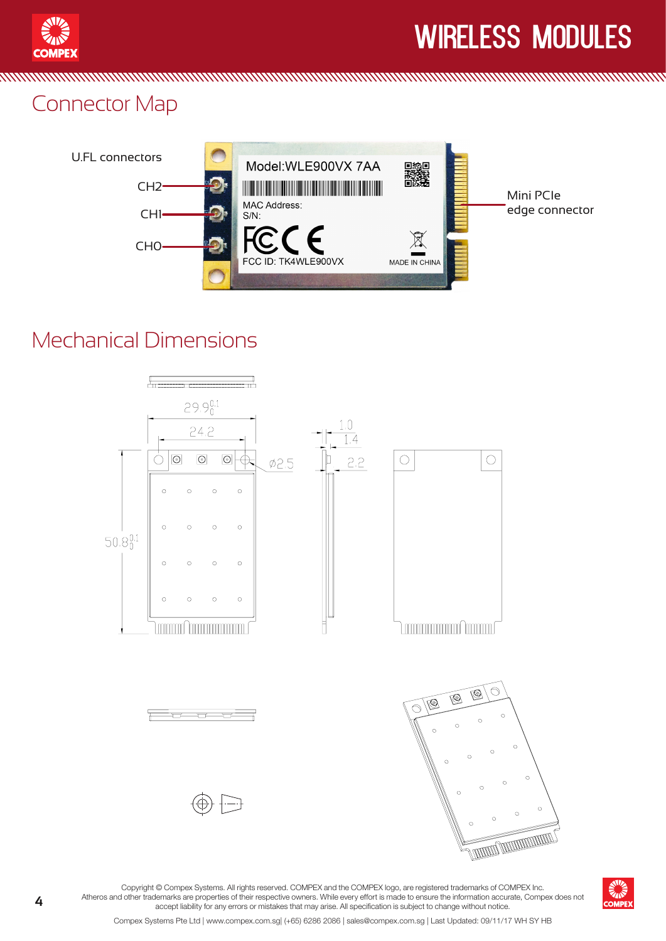

**MMMMM** 

# wireless modules

#### Connector Map



<u> MATHAMAN MANAMAN MANAMAN MANAMAN MANAMAN MANAMAN MANAMAN MANAMAN MANAMA</u>

#### Mechanical Dimensions





Copyright © Compex Systems. All rights reserved. COMPEX and the COMPEX logo, are registered trademarks of COMPEX Inc. Atheros and other trademarks are properties of their respective owners. While every effort is made to ensure the information accurate, Compex does not accept liability for any errors or mistakes that may arise. All specification is subject to change without notice.